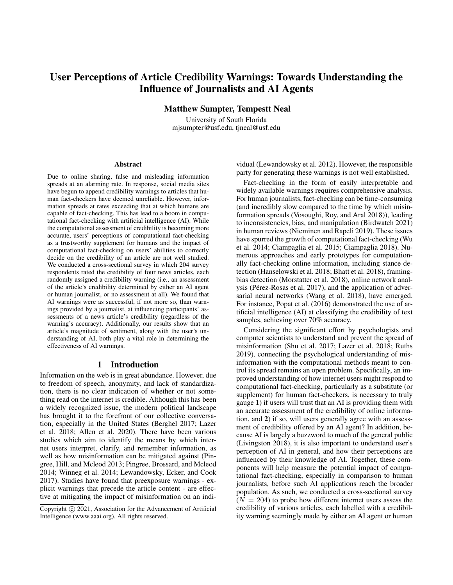# User Perceptions of Article Credibility Warnings: Towards Understanding the Influence of Journalists and AI Agents

Matthew Sumpter, Tempestt Neal

University of South Florida mjsumpter@usf.edu, tjneal@usf.edu

#### Abstract

Due to online sharing, false and misleading information spreads at an alarming rate. In response, social media sites have begun to append credibility warnings to articles that human fact-checkers have deemed unreliable. However, information spreads at rates exceeding that at which humans are capable of fact-checking. This has lead to a boom in computational fact-checking with artificial intelligence (AI). While the computational assessment of credibility is becoming more accurate, users' perceptions of computational fact-checking as a trustworthy supplement for humans and the impact of computational fact-checking on users' abilities to correctly decide on the credibility of an article are not well studied. We conducted a cross-sectional survey in which 204 survey respondents rated the credibility of four news articles, each randomly assigned a credibility warning (i.e., an assessment of the article's credibility determined by either an AI agent or human journalist, or no assessment at all). We found that AI warnings were as successful, if not more so, than warnings provided by a journalist, at influencing participants' assessments of a news article's credibility (regardless of the warning's accuracy). Additionally, our results show that an article's magnitude of sentiment, along with the user's understanding of AI, both play a vital role in determining the effectiveness of AI warnings.

## 1 Introduction

Information on the web is in great abundance. However, due to freedom of speech, anonymity, and lack of standardization, there is no clear indication of whether or not something read on the internet is credible. Although this has been a widely recognized issue, the modern political landscape has brought it to the forefront of our collective conversation, especially in the United States (Berghel 2017; Lazer et al. 2018; Allen et al. 2020). There have been various studies which aim to identify the means by which internet users interpret, clarify, and remember information, as well as how misinformation can be mitigated against (Pingree, Hill, and Mcleod 2013; Pingree, Brossard, and Mcleod 2014; Winneg et al. 2014; Lewandowsky, Ecker, and Cook 2017). Studies have found that preexposure warnings - explicit warnings that precede the article content - are effective at mitigating the impact of misinformation on an individual (Lewandowsky et al. 2012). However, the responsible party for generating these warnings is not well established.

Fact-checking in the form of easily interpretable and widely available warnings requires comprehensive analysis. For human journalists, fact-checking can be time-consuming (and incredibly slow compared to the time by which misinformation spreads (Vosoughi, Roy, and Aral 2018)), leading to inconsistencies, bias, and manipulation (Birdwatch 2021) in human reviews (Nieminen and Rapeli 2019). These issues have spurred the growth of computational fact-checking (Wu et al. 2014; Ciampaglia et al. 2015; Ciampaglia 2018). Numerous approaches and early prototypes for computationally fact-checking online information, including stance detection (Hanselowski et al. 2018; Bhatt et al. 2018), framingbias detection (Morstatter et al. 2018), online network analysis (Pérez-Rosas et al. 2017), and the application of adversarial neural networks (Wang et al. 2018), have emerged. For instance, Popat et al. (2016) demonstrated the use of artificial intelligence (AI) at classifying the credibility of text samples, achieving over 70% accuracy.

Considering the significant effort by psychologists and computer scientists to understand and prevent the spread of misinformation (Shu et al. 2017; Lazer et al. 2018; Ruths 2019), connecting the psychological understanding of misinformation with the computational methods meant to control its spread remains an open problem. Specifically, an improved understanding of how internet users might respond to computational fact-checking, particularly as a substitute (or supplement) for human fact-checkers, is necessary to truly gauge 1) if users will trust that an AI is providing them with an accurate assessment of the credibility of online information, and 2) if so, will users generally agree with an assessment of credibility offered by an AI agent? In addition, because AI is largely a buzzword to much of the general public (Livingston 2018), it is also important to understand user's perception of AI in general, and how their perceptions are influenced by their knowledge of AI. Together, these components will help measure the potential impact of computational fact-checking, especially in comparison to human journalists, before such AI applications reach the broader population. As such, we conducted a cross-sectional survey  $(N = 204)$  to probe how different internet users assess the credibility of various articles, each labelled with a credibility warning seemingly made by either an AI agent or human

Copyright (c) 2021, Association for the Advancement of Artificial Intelligence (www.aaai.org). All rights reserved.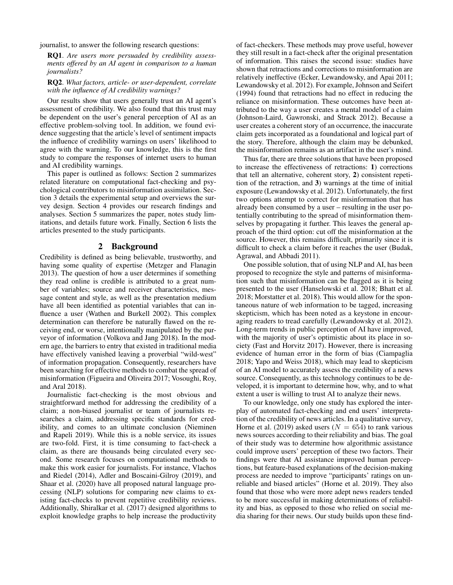journalist, to answer the following research questions:

RQ1. *Are users more persuaded by credibility assessments offered by an AI agent in comparison to a human journalists?*

RQ2. *What factors, article- or user-dependent, correlate with the influence of AI credibility warnings?*

Our results show that users generally trust an AI agent's assessment of credibility. We also found that this trust may be dependent on the user's general perception of AI as an effective problem-solving tool. In addition, we found evidence suggesting that the article's level of sentiment impacts the influence of credibility warnings on users' likelihood to agree with the warning. To our knowledge, this is the first study to compare the responses of internet users to human and AI credibility warnings.

This paper is outlined as follows: Section 2 summarizes related literature on computational fact-checking and psychological contributors to misinformation assimilation. Section 3 details the experimental setup and overviews the survey design. Section 4 provides our research findings and analyses. Section 5 summarizes the paper, notes study limitations, and details future work. Finally, Section 6 lists the articles presented to the study participants.

# 2 Background

Credibility is defined as being believable, trustworthy, and having some quality of expertise (Metzger and Flanagin 2013). The question of how a user determines if something they read online is credible is attributed to a great number of variables; source and receiver characteristics, message content and style, as well as the presentation medium have all been identified as potential variables that can influence a user (Wathen and Burkell 2002). This complex determination can therefore be naturally flawed on the receiving end, or worse, intentionally manipulated by the purveyor of information (Volkova and Jang 2018). In the modern age, the barriers to entry that existed in traditional media have effectively vanished leaving a proverbial "wild-west" of information propagation. Consequently, researchers have been searching for effective methods to combat the spread of misinformation (Figueira and Oliveira 2017; Vosoughi, Roy, and Aral 2018).

Journalistic fact-checking is the most obvious and straightforward method for addressing the credibility of a claim; a non-biased journalist or team of journalists researches a claim, addressing specific standards for credibility, and comes to an ultimate conclusion (Nieminen and Rapeli 2019). While this is a noble service, its issues are two-fold. First, it is time consuming to fact-check a claim, as there are thousands being circulated every second. Some research focuses on computational methods to make this work easier for journalists. For instance, Vlachos and Riedel (2014), Adler and Boscaini-Gilroy (2019), and Shaar et al. (2020) have all proposed natural language processing (NLP) solutions for comparing new claims to existing fact-checks to prevent repetitive credibility reviews. Additionally, Shiralkar et al. (2017) designed algorithms to exploit knowledge graphs to help increase the productivity

of fact-checkers. These methods may prove useful, however they still result in a fact-check after the original presentation of information. This raises the second issue: studies have shown that retractions and corrections to misinformation are relatively ineffective (Ecker, Lewandowsky, and Apai 2011; Lewandowsky et al. 2012). For example, Johnson and Seifert (1994) found that retractions had no effect in reducing the reliance on misinformation. These outcomes have been attributed to the way a user creates a mental model of a claim (Johnson-Laird, Gawronski, and Strack 2012). Because a user creates a coherent story of an occurrence, the inaccurate claim gets incorporated as a foundational and logical part of the story. Therefore, although the claim may be debunked, the misinformation remains as an artifact in the user's mind.

Thus far, there are three solutions that have been proposed to increase the effectiveness of retractions: 1) corrections that tell an alternative, coherent story, 2) consistent repetition of the retraction, and 3) warnings at the time of initial exposure (Lewandowsky et al. 2012). Unfortunately, the first two options attempt to correct for misinformation that has already been consumed by a user – resulting in the user potentially contributing to the spread of misinformation themselves by propagating it further. This leaves the general approach of the third option: cut off the misinformation at the source. However, this remains difficult, primarily since it is difficult to check a claim before it reaches the user (Budak, Agrawal, and Abbadi 2011).

One possible solution, that of using NLP and AI, has been proposed to recognize the style and patterns of misinformation such that misinformation can be flagged as it is being presented to the user (Hanselowski et al. 2018; Bhatt et al. 2018; Morstatter et al. 2018). This would allow for the spontaneous nature of web information to be tagged, increasing skepticism, which has been noted as a keystone in encouraging readers to tread carefully (Lewandowsky et al. 2012). Long-term trends in public perception of AI have improved, with the majority of user's optimistic about its place in society (Fast and Horvitz 2017). However, there is increasing evidence of human error in the form of bias (Ciampaglia 2018; Yapo and Weiss 2018), which may lead to skepticism of an AI model to accurately assess the credibility of a news source. Consequently, as this technology continues to be developed, it is important to determine how, why, and to what extent a user is willing to trust AI to analyze their news.

To our knowledge, only one study has explored the interplay of automated fact-checking and end users' interpretation of the credibility of news articles. In a qualitative survey, Horne et al. (2019) asked users ( $N = 654$ ) to rank various news sources according to their reliability and bias. The goal of their study was to determine how algorithmic assistance could improve users' perception of these two factors. Their findings were that AI assistance improved human perceptions, but feature-based explanations of the decision-making process are needed to improve "participants' ratings on unreliable and biased articles" (Horne et al. 2019). They also found that those who were more adept news readers tended to be more successful in making determinations of reliability and bias, as opposed to those who relied on social media sharing for their news. Our study builds upon these find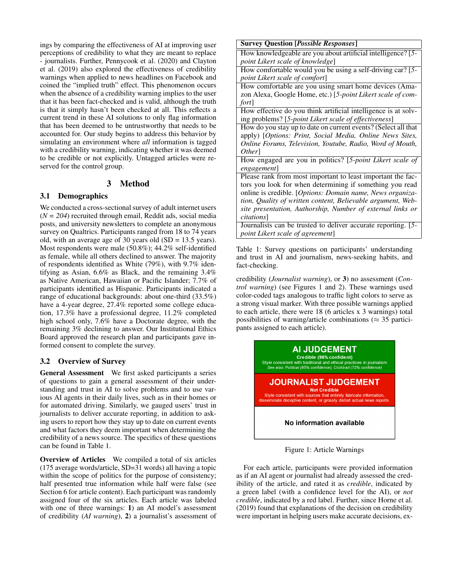ings by comparing the effectiveness of AI at improving user perceptions of credibility to what they are meant to replace - journalists. Further, Pennycook et al. (2020) and Clayton et al. (2019) also explored the effectiveness of credibility warnings when applied to news headlines on Facebook and coined the "implied truth" effect. This phenomenon occurs when the absence of a credibility warning implies to the user that it has been fact-checked and is valid, although the truth is that it simply hasn't been checked at all. This reflects a current trend in these AI solutions to only flag information that has been deemed to be untrustworthy that needs to be accounted for. Our study begins to address this behavior by simulating an environment where *all* information is tagged with a credibility warning, indicating whether it was deemed to be credible or not explicitly. Untagged articles were reserved for the control group.

## 3 Method

## 3.1 Demographics

We conducted a cross-sectional survey of adult internet users (*N = 204*) recruited through email, Reddit ads, social media posts, and university newsletters to complete an anonymous survey on Qualtrics. Participants ranged from 18 to 74 years old, with an average age of 30 years old (SD = 13.5 years). Most respondents were male (50.8%); 44.2% self-identified as female, while all others declined to answer. The majority of respondents identified as White (79%), with 9.7% identifying as Asian, 6.6% as Black, and the remaining 3.4% as Native American, Hawaiian or Pacific Islander; 7.7% of participants identified as Hispanic. Participants indicated a range of educational backgrounds: about one-third (33.5%) have a 4-year degree, 27.4% reported some college education, 17.3% have a professional degree, 11.2% completed high school only, 7.6% have a Doctorate degree, with the remaining 3% declining to answer. Our Institutional Ethics Board approved the research plan and participants gave informed consent to complete the survey.

## 3.2 Overview of Survey

General Assessment We first asked participants a series of questions to gain a general assessment of their understanding and trust in AI to solve problems and to use various AI agents in their daily lives, such as in their homes or for automated driving. Similarly, we gauged users' trust in journalists to deliver accurate reporting, in addition to asking users to report how they stay up to date on current events and what factors they deem important when determining the credibility of a news source. The specifics of these questions can be found in Table 1.

Overview of Articles We compiled a total of six articles (175 average words/article, SD=31 words) all having a topic within the scope of politics for the purpose of consistency; half presented true information while half were false (see Section 6 for article content). Each participant was randomly assigned four of the six articles. Each article was labeled with one of three warnings: 1) an AI model's assessment of credibility (*AI warning*), 2) a journalist's assessment of

How knowledgeable are you about artificial intelligence? [*5 point Likert scale of knowledge*]

How comfortable would you be using a self-driving car? [*5 point Likert scale of comfort*]

How comfortable are you using smart home devices (Amazon Alexa, Google Home, etc.) [*5-point Likert scale of comfort*]

How effective do you think artificial intelligence is at solving problems? [*5-point Likert scale of effectiveness*]

How do you stay up to date on current events? (Select all that apply) [*Options: Print, Social Media, Online News Sites, Online Forums, Television, Youtube, Radio, Word of Mouth, Other*]

How engaged are you in politics? [*5-point Likert scale of engagement*]

Please rank from most important to least important the factors you look for when determining if something you read online is credible. [*Options: Domain name, News organization, Quality of written content, Believable argument, Website presentation, Authorship, Number of external links or citations*]

Journalists can be trusted to deliver accurate reporting. [*5 point Likert scale of agreement*]

Table 1: Survey questions on participants' understanding and trust in AI and journalism, news-seeking habits, and fact-checking.

credibility (*Journalist warning*), or 3) no assessment (*Control warning*) (see Figures 1 and 2). These warnings used color-coded tags analogous to traffic light colors to serve as a strong visual marker. With three possible warnings applied to each article, there were 18 (6 articles x 3 warnings) total possibilities of warning/article combinations ( $\approx$  35 participants assigned to each article).



Figure 1: Article Warnings

For each article, participants were provided information as if an AI agent or journalist had already assessed the credibility of the article, and rated it as *credible*, indicated by a green label (with a confidence level for the AI), or *not credible*, indicated by a red label. Further, since Horne et al. (2019) found that explanations of the decision on credibility were important in helping users make accurate decisions, ex-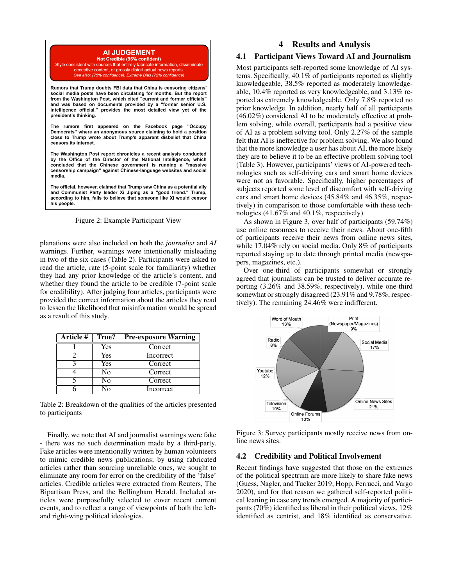

Style consistent with sources that entirely fabricate information, disseminate deceptive content, or grossly distort actual news reports See also: (75% confidence), Extreme Bias (72% confidence)

Rumors that Trump doubts FBI data that China is censoring citizens' social media posts have been circulating for months. But the report from the Washington Post, which cited "current and former officials" and was based on documents provided by a "former senior U.S. intelligence official," provides the most detailed view yet of the president's thinking.

The rumors first appeared on the Facebook page "Occupy Democrats" where an anonymous source claiming to hold a position close to Trump wrote about Trump's apparent disbelief that China censors its internet.

The Washington Post report chronicles a recent analysis conducted by the Office of the Director of the National Intelligence, which concluded that the Chinese government is running a "massive censorship campaign" against Chinese-language websites and social media.

The official, however, claimed that Trump saw China as a potential ally and Communist Party leader Xi Jiping as a "good friend." Trump, according to him, fails to believe that someone like Xi would censor his people.

Figure 2: Example Participant View

planations were also included on both the *journalist* and *AI* warnings. Further, warnings were intentionally misleading in two of the six cases (Table 2). Participants were asked to read the article, rate (5-point scale for familiarity) whether they had any prior knowledge of the article's content, and whether they found the article to be credible (7-point scale for credibility). After judging four articles, participants were provided the correct information about the articles they read to lessen the likelihood that misinformation would be spread as a result of this study.

| <b>Article #</b> | True? | <b>Pre-exposure Warning</b> |  |  |  |
|------------------|-------|-----------------------------|--|--|--|
|                  | Yes   | Correct                     |  |  |  |
|                  | Yes   | Incorrect                   |  |  |  |
|                  | Yes   | Correct                     |  |  |  |
|                  | No    | Correct                     |  |  |  |
|                  | No    | Correct                     |  |  |  |
|                  | N٥    | Incorrect                   |  |  |  |

Table 2: Breakdown of the qualities of the articles presented to participants

Finally, we note that AI and journalist warnings were fake - there was no such determination made by a third-party. Fake articles were intentionally written by human volunteers to mimic credible news publications; by using fabricated articles rather than sourcing unreliable ones, we sought to eliminate any room for error on the credibility of the 'false' articles. Credible articles were extracted from Reuters, The Bipartisan Press, and the Bellingham Herald. Included articles were purposefully selected to cover recent current events, and to reflect a range of viewpoints of both the leftand right-wing political ideologies.

# 4 Results and Analysis

## 4.1 Participant Views Toward AI and Journalism

Most participants self-reported some knowledge of AI systems. Specifically, 40.1% of participants reported as slightly knowledgeable, 38.5% reported as moderately knowledgeable, 10.4% reported as very knowledgeable, and 3.13% reported as extremely knowledgeable. Only 7.8% reported no prior knowledge. In addition, nearly half of all participants (46.02%) considered AI to be moderately effective at problem solving, while overall, participants had a positive view of AI as a problem solving tool. Only 2.27% of the sample felt that AI is ineffective for problem solving. We also found that the more knowledge a user has about AI, the more likely they are to believe it to be an effective problem solving tool (Table 3). However, participants' views of AI-powered technologies such as self-driving cars and smart home devices were not as favorable. Specifically, higher percentages of subjects reported some level of discomfort with self-driving cars and smart home devices (45.84% and 46.35%, respectively) in comparison to those comfortable with these technologies (41.67% and 40.1%, respectively).

As shown in Figure 3, over half of participants (59.74%) use online resources to receive their news. About one-fifth of participants receive their news from online news sites, while 17.04% rely on social media. Only 8% of participants reported staying up to date through printed media (newspapers, magazines, etc.).

Over one-third of participants somewhat or strongly agreed that journalists can be trusted to deliver accurate reporting (3.26% and 38.59%, respectively), while one-third somewhat or strongly disagreed (23.91% and 9.78%, respectively). The remaining 24.46% were indifferent.



Figure 3: Survey participants mostly receive news from online news sites.

#### 4.2 Credibility and Political Involvement

Recent findings have suggested that those on the extremes of the political spectrum are more likely to share fake news (Guess, Nagler, and Tucker 2019; Hopp, Ferrucci, and Vargo 2020), and for that reason we gathered self-reported political leaning in case any trends emerged. A majority of participants (70%) identified as liberal in their political views, 12% identified as centrist, and 18% identified as conservative.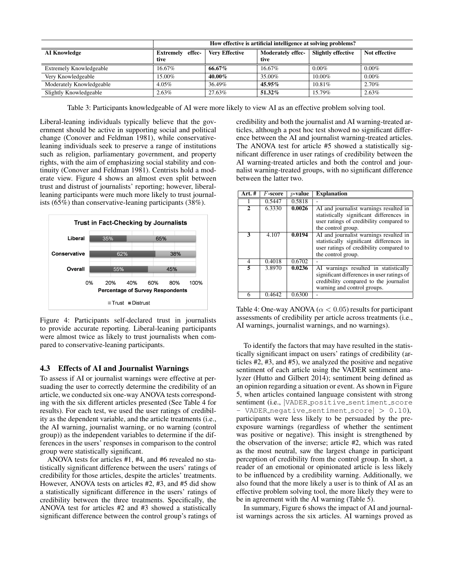|                          | How effective is artificial intelligence at solving problems? |                       |                                  |                           |               |
|--------------------------|---------------------------------------------------------------|-----------------------|----------------------------------|---------------------------|---------------|
| <b>AI Knowledge</b>      | <b>Extremely</b> effec-<br>tive                               | <b>Very Effective</b> | <b>Moderately effec-</b><br>tive | <b>Slightly effective</b> | Not effective |
| Extremely Knowledgeable  | 16.67%                                                        | 66.67%                | $16.67\%$                        | $0.00\%$                  | $0.00\%$      |
| Very Knowledgeable       | 15.00%                                                        | $40.00\%$             | 35.00%                           | 10.00%                    | $0.00\%$      |
| Moderately Knowledgeable | $4.05\%$                                                      | 36.49%                | 45.95%                           | 10.81%                    | 2.70%         |
| Slightly Knowledgeable   | 2.63%                                                         | 27.63%                | 51.32%                           | 15.79%                    | 2.63%         |

Table 3: Participants knowledgeable of AI were more likely to view AI as an effective problem solving tool.

Liberal-leaning individuals typically believe that the government should be active in supporting social and political change (Conover and Feldman 1981), while conservativeleaning individuals seek to preserve a range of institutions such as religion, parliamentary government, and property rights, with the aim of emphasizing social stability and continuity (Conover and Feldman 1981). Centrists hold a moderate view. Figure 4 shows an almost even split between trust and distrust of journalists' reporting; however, liberalleaning participants were much more likely to trust journalists (65%) than conservative-leaning participants (38%).



Figure 4: Participants self-declared trust in journalists to provide accurate reporting. Liberal-leaning participants were almost twice as likely to trust journalists when compared to conservative-leaning participants.

## 4.3 Effects of AI and Journalist Warnings

To assess if AI or journalist warnings were effective at persuading the user to correctly determine the credibility of an article, we conducted six one-way ANOVA tests corresponding with the six different articles presented (See Table 4 for results). For each test, we used the user ratings of credibility as the dependent variable, and the article treatments (i.e., the AI warning, journalist warning, or no warning (control group)) as the independent variables to determine if the differences in the users' responses in comparison to the control group were statistically significant.

ANOVA tests for articles #1, #4, and #6 revealed no statistically significant difference between the users' ratings of credibility for those articles, despite the articles' treatments. However, ANOVA tests on articles #2, #3, and #5 did show a statistically significant difference in the users' ratings of credibility between the three treatments. Specifically, the ANOVA test for articles #2 and #3 showed a statistically significant difference between the control group's ratings of credibility and both the journalist and AI warning-treated articles, although a post hoc test showed no significant difference between the AI and journalist warning-treated articles. The ANOVA test for article #5 showed a statistically significant difference in user ratings of credibility between the AI warning-treated articles and both the control and journalist warning-treated groups, with no significant difference between the latter two.

| Art. #         | $F$ -score | $p$ -value | <b>Explanation</b>                                                                                                                                           |
|----------------|------------|------------|--------------------------------------------------------------------------------------------------------------------------------------------------------------|
|                | 0.5447     | 0.5818     |                                                                                                                                                              |
| $\mathfrak{D}$ | 6.3330     | 0.0026     | AI and journalist warnings resulted in<br>statistically significant differences in<br>user ratings of credibility compared to<br>the control group.          |
| 3              | 4.107      | 0.0194     | AI and journalist warnings resulted in<br>statistically significant differences in<br>user ratings of credibility compared to<br>the control group.          |
| 4              | 0.4018     | 0.6702     |                                                                                                                                                              |
| 5              | 3.8970     | 0.0236     | AI warnings resulted in statistically<br>significant differences in user ratings of<br>credibility compared to the journalist<br>warning and control groups. |
| 6              | 0.4642     | 0.6300     |                                                                                                                                                              |

Table 4: One-way ANOVA ( $\alpha$  < 0.05) results for participant assessments of credibility per article across treatments (i.e., AI warnings, journalist warnings, and no warnings).

To identify the factors that may have resulted in the statistically significant impact on users' ratings of credibility (articles #2, #3, and #5), we analyzed the positive and negative sentiment of each article using the VADER sentiment analyzer (Hutto and Gilbert 2014); sentiment being defined as an opinion regarding a situation or event. As shown in Figure 5, when articles contained language consistent with strong sentiment (i.e., *VADER\_positive\_sentiment\_score* - VADER\_negative\_sentiment\_score $| > 0.10$ ), participants were less likely to be persuaded by the preexposure warnings (regardless of whether the sentiment was positive or negative). This insight is strengthened by the observation of the inverse; article #2, which was rated as the most neutral, saw the largest change in participant perception of credibility from the control group. In short, a reader of an emotional or opinionated article is less likely to be influenced by a credibility warning. Additionally, we also found that the more likely a user is to think of AI as an effective problem solving tool, the more likely they were to be in agreement with the AI warning (Table 5).

In summary, Figure 6 shows the impact of AI and journalist warnings across the six articles. AI warnings proved as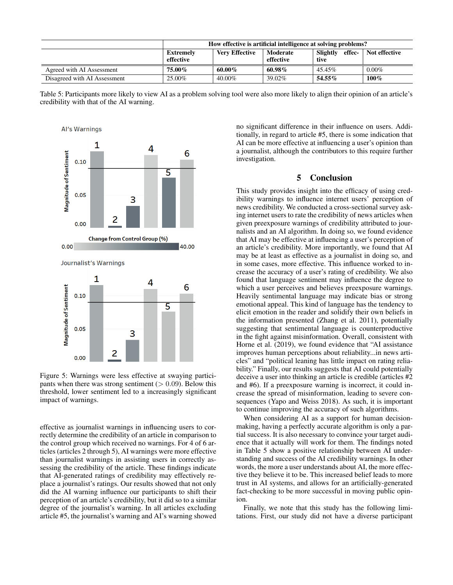|                              | How effective is artificial intelligence at solving problems? |                       |                       |                            |               |
|------------------------------|---------------------------------------------------------------|-----------------------|-----------------------|----------------------------|---------------|
|                              | Extremely<br>effective                                        | <b>Very Effective</b> | Moderate<br>effective | effec-<br>Slightly<br>tive | Not effective |
| Agreed with AI Assessment    | 75.00%                                                        | $60.00\%$             | $60.98\%$             | 45.45%                     | $0.00\%$      |
| Disagreed with AI Assessment | 25.00%                                                        | $40.00\%$             | 39.02%                | $54.55\%$                  | 100%          |

Table 5: Participants more likely to view AI as a problem solving tool were also more likely to align their opinion of an article's credibility with that of the AI warning.



Figure 5: Warnings were less effective at swaying participants when there was strong sentiment ( $> 0.09$ ). Below this threshold, lower sentiment led to a increasingly significant impact of warnings.

effective as journalist warnings in influencing users to correctly determine the credibility of an article in comparison to the control group which received no warnings. For 4 of 6 articles (articles 2 through 5), AI warnings were more effective than journalist warnings in assisting users in correctly assessing the credibility of the article. These findings indicate that AI-generated ratings of credibility may effectively replace a journalist's ratings. Our results showed that not only did the AI warning influence our participants to shift their perception of an article's credibility, but it did so to a similar degree of the journalist's warning. In all articles excluding article #5, the journalist's warning and AI's warning showed no significant difference in their influence on users. Additionally, in regard to article #5, there is some indication that AI can be more effective at influencing a user's opinion than a journalist, although the contributors to this require further investigation.

#### 5 Conclusion

This study provides insight into the efficacy of using credibility warnings to influence internet users' perception of news credibility. We conducted a cross-sectional survey asking internet users to rate the credibility of news articles when given preexposure warnings of credibility attributed to journalists and an AI algorithm. In doing so, we found evidence that AI may be effective at influencing a user's perception of an article's credibility. More importantly, we found that AI may be at least as effective as a journalist in doing so, and in some cases, more effective. This influence worked to increase the accuracy of a user's rating of credibility. We also found that language sentiment may influence the degree to which a user perceives and believes preexposure warnings. Heavily sentimental language may indicate bias or strong emotional appeal. This kind of language has the tendency to elicit emotion in the reader and solidify their own beliefs in the information presented (Zhang et al. 2011), potentially suggesting that sentimental language is counterproductive in the fight against misinformation. Overall, consistent with Horne et al. (2019), we found evidence that "AI assistance improves human perceptions about reliability...in news articles" and "political leaning has little impact on rating reliability." Finally, our results suggests that AI could potentially deceive a user into thinking an article is credible (articles #2 and #6). If a preexposure warning is incorrect, it could increase the spread of misinformation, leading to severe consequences (Yapo and Weiss 2018). As such, it is important to continue improving the accuracy of such algorithms.

When considering AI as a support for human decisionmaking, having a perfectly accurate algorithm is only a partial success. It is also necessary to convince your target audience that it actually will work for them. The findings noted in Table 5 show a positive relationship between AI understanding and success of the AI credibility warnings. In other words, the more a user understands about AI, the more effective they believe it to be. This increased belief leads to more trust in AI systems, and allows for an artificially-generated fact-checking to be more successful in moving public opinion.

Finally, we note that this study has the following limitations. First, our study did not have a diverse participant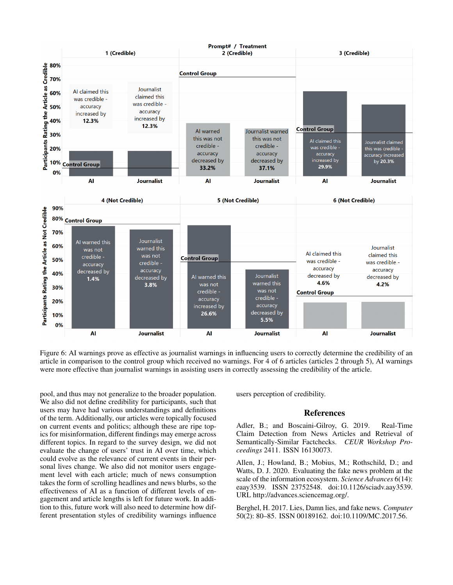

Figure 6: AI warnings prove as effective as journalist warnings in influencing users to correctly determine the credibility of an article in comparison to the control group which received no warnings. For 4 of 6 articles (articles 2 through 5), AI warnings were more effective than journalist warnings in assisting users in correctly assessing the credibility of the article.

pool, and thus may not generalize to the broader population. We also did not define credibility for participants, such that users may have had various understandings and definitions of the term. Additionally, our articles were topically focused on current events and politics; although these are ripe topics for misinformation, different findings may emerge across different topics. In regard to the survey design, we did not evaluate the change of users' trust in AI over time, which could evolve as the relevance of current events in their personal lives change. We also did not monitor users engagement level with each article; much of news consumption takes the form of scrolling headlines and news blurbs, so the effectiveness of AI as a function of different levels of engagement and article lengths is left for future work. In addition to this, future work will also need to determine how different presentation styles of credibility warnings influence users perception of credibility.

#### References

Adler, B.; and Boscaini-Gilroy, G. 2019. Real-Time Claim Detection from News Articles and Retrieval of Semantically-Similar Factchecks. *CEUR Workshop Proceedings* 2411. ISSN 16130073.

Allen, J.; Howland, B.; Mobius, M.; Rothschild, D.; and Watts, D. J. 2020. Evaluating the fake news problem at the scale of the information ecosystem. *Science Advances* 6(14): eaay3539. ISSN 23752548. doi:10.1126/sciadv.aay3539. URL http://advances.sciencemag.org/.

Berghel, H. 2017. Lies, Damn lies, and fake news. *Computer* 50(2): 80–85. ISSN 00189162. doi:10.1109/MC.2017.56.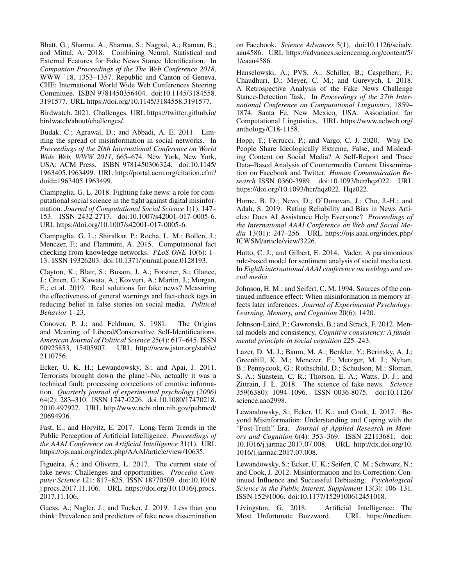Bhatt, G.; Sharma, A.; Sharma, S.; Nagpal, A.; Raman, B.; and Mittal, A. 2018. Combining Neural, Statistical and External Features for Fake News Stance Identification. In *Companion Proceedings of the The Web Conference 2018*, WWW '18, 1353–1357. Republic and Canton of Geneva, CHE: International World Wide Web Conferences Steering Committee. ISBN 9781450356404. doi:10.1145/3184558. 3191577. URL https://doi.org/10.1145/3184558.3191577.

Birdwatch. 2021. Challenges. URL https://twitter.github.io/ birdwatch/about/challenges/.

Budak, C.; Agrawal, D.; and Abbadi, A. E. 2011. Limiting the spread of misinformation in social networks. In *Proceedings of the 20th International Conference on World Wide Web, WWW 2011*, 665–674. New York, New York, USA: ACM Press. ISBN 9781450306324. doi:10.1145/ 1963405.1963499. URL http://portal.acm.org/citation.cfm? doid=1963405.1963499.

Ciampaglia, G. L. 2018. Fighting fake news: a role for computational social science in the fight against digital misinformation. *Journal of Computational Social Science* 1(1): 147– 153. ISSN 2432-2717. doi:10.1007/s42001-017-0005-6. URL https://doi.org/10.1007/s42001-017-0005-6.

Ciampaglia, G. L.; Shiralkar, P.; Rocha, L. M.; Bollen, J.; Menczer, F.; and Flammini, A. 2015. Computational fact checking from knowledge networks. *PLoS ONE* 10(6): 1– 13. ISSN 19326203. doi:10.1371/journal.pone.0128193.

Clayton, K.; Blair, S.; Busam, J. A.; Forstner, S.; Glance, J.; Green, G.; Kawata, A.; Kovvuri, A.; Martin, J.; Morgan, E.; et al. 2019. Real solutions for fake news? Measuring the effectiveness of general warnings and fact-check tags in reducing belief in false stories on social media. *Political Behavior* 1–23.

Conover, P. J.; and Feldman, S. 1981. The Origins and Meaning of Liberal/Conservative Self-Identifications. *American Journal of Political Science* 25(4): 617–645. ISSN 00925853, 15405907. URL http://www.jstor.org/stable/ 2110756.

Ecker, U. K. H.; Lewandowsky, S.; and Apai, J. 2011. Terrorists brought down the plane!–No, actually it was a technical fault: processing corrections of emotive information. *Quarterly journal of experimental psychology (2006)* 64(2): 283–310. ISSN 1747-0226. doi:10.1080/17470218. 2010.497927. URL http://www.ncbi.nlm.nih.gov/pubmed/ 20694936.

Fast, E.; and Horvitz, E. 2017. Long-Term Trends in the Public Perception of Artificial Intelligence. *Proceedings of the AAAI Conference on Artificial Intelligence* 31(1). URL https://ojs.aaai.org/index.php/AAAI/article/view/10635.

Figueira, Á.; and Oliveira, L. 2017. The current state of fake news: Challenges and opportunities. *Procedia Computer Science* 121: 817–825. ISSN 18770509. doi:10.1016/ j.procs.2017.11.106. URL https://doi.org/10.1016/j.procs. 2017.11.106.

Guess, A.; Nagler, J.; and Tucker, J. 2019. Less than you think: Prevalence and predictors of fake news dissemination

on Facebook. *Science Advances* 5(1). doi:10.1126/sciadv. aau4586. URL https://advances.sciencemag.org/content/5/ 1/eaau4586.

Hanselowski, A.; PVS, A.; Schiller, B.; Caspelherr, F.; Chaudhuri, D.; Meyer, C. M.; and Gurevych, I. 2018. A Retrospective Analysis of the Fake News Challenge Stance-Detection Task. In *Proceedings of the 27th International Conference on Computational Linguistics*, 1859– 1874. Santa Fe, New Mexico, USA: Association for Computational Linguistics. URL https://www.aclweb.org/ anthology/C18-1158.

Hopp, T.; Ferrucci, P.; and Vargo, C. J. 2020. Why Do People Share Ideologically Extreme, False, and Misleading Content on Social Media? A Self-Report and Trace Data–Based Analysis of Countermedia Content Dissemination on Facebook and Twitter. *Human Communication Research* ISSN 0360-3989. doi:10.1093/hcr/hqz022. URL https://doi.org/10.1093/hcr/hqz022. Hqz022.

Horne, B. D.; Nevo, D.; O'Donovan, J.; Cho, J.-H.; and Adalı, S. 2019. Rating Reliability and Bias in News Articles: Does AI Assistance Help Everyone? *Proceedings of the International AAAI Conference on Web and Social Media* 13(01): 247–256. URL https://ojs.aaai.org/index.php/ ICWSM/article/view/3226.

Hutto, C. J.; and Gilbert, E. 2014. Vader: A parsimonious rule-based model for sentiment analysis of social media text. In *Eighth international AAAI conference on weblogs and social media*.

Johnson, H. M.; and Seifert, C. M. 1994. Sources of the continued influence effect: When misinformation in memory affects later inferences. *Journal of Experimental Psychology: Learning, Memory, and Cognition* 20(6): 1420.

Johnson-Laird, P.; Gawronski, B.; and Strack, F. 2012. Mental models and consistency. *Cognitive consistency: A fundamental principle in social cognition* 225–243.

Lazer, D. M. J.; Baum, M. A.; Benkler, Y.; Berinsky, A. J.; Greenhill, K. M.; Menczer, F.; Metzger, M. J.; Nyhan, B.; Pennycook, G.; Rothschild, D.; Schudson, M.; Sloman, S. A.; Sunstein, C. R.; Thorson, E. A.; Watts, D. J.; and Zittrain, J. L. 2018. The science of fake news. *Science* 359(6380): 1094–1096. ISSN 0036-8075. doi:10.1126/ science.aao2998.

Lewandowsky, S.; Ecker, U. K.; and Cook, J. 2017. Beyond Misinformation: Understanding and Coping with the "Post-Truth" Era. *Journal of Applied Research in Memory and Cognition* 6(4): 353–369. ISSN 22113681. doi: 10.1016/j.jarmac.2017.07.008. URL http://dx.doi.org/10. 1016/j.jarmac.2017.07.008.

Lewandowsky, S.; Ecker, U. K.; Seifert, C. M.; Schwarz, N.; and Cook, J. 2012. Misinformation and Its Correction: Continued Influence and Successful Debiasing. *Psychological Science in the Public Interest, Supplement* 13(3): 106–131. ISSN 15291006. doi:10.1177/1529100612451018.

Livingston, G. 2018. Artificial Intelligence: The Most Unfortunate Buzzword. URL https://medium. Most Unfortunate Buzzword.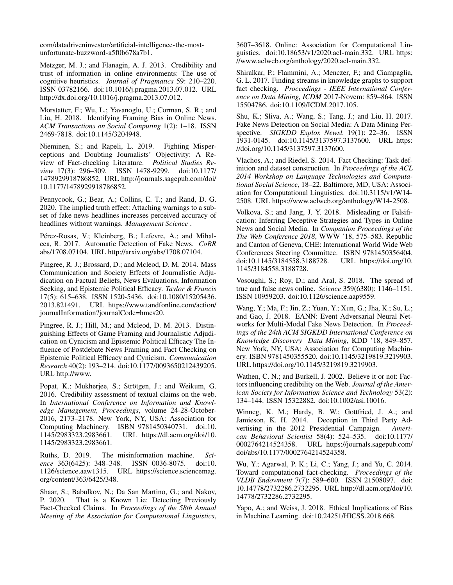com/datadriveninvestor/artificial-intelligence-the-mostunfortunate-buzzword-a5f0b678a7b1.

Metzger, M. J.; and Flanagin, A. J. 2013. Credibility and trust of information in online environments: The use of cognitive heuristics. *Journal of Pragmatics* 59: 210–220. ISSN 03782166. doi:10.1016/j.pragma.2013.07.012. URL http://dx.doi.org/10.1016/j.pragma.2013.07.012.

Morstatter, F.; Wu, L.; Yavanoglu, U.; Corman, S. R.; and Liu, H. 2018. Identifying Framing Bias in Online News. *ACM Transactions on Social Computing* 1(2): 1–18. ISSN 2469-7818. doi:10.1145/3204948.

Nieminen, S.; and Rapeli, L. 2019. Fighting Misperceptions and Doubting Journalists' Objectivity: A Review of Fact-checking Literature. *Political Studies Review* 17(3): 296–309. ISSN 1478-9299. doi:10.1177/ 1478929918786852. URL http://journals.sagepub.com/doi/ 10.1177/1478929918786852.

Pennycook, G.; Bear, A.; Collins, E. T.; and Rand, D. G. 2020. The implied truth effect: Attaching warnings to a subset of fake news headlines increases perceived accuracy of headlines without warnings. *Management Science* .

Pérez-Rosas, V.; Kleinberg, B.; Lefevre, A.; and Mihalcea, R. 2017. Automatic Detection of Fake News. *CoRR* abs/1708.07104. URL http://arxiv.org/abs/1708.07104.

Pingree, R. J.; Brossard, D.; and Mcleod, D. M. 2014. Mass Communication and Society Effects of Journalistic Adjudication on Factual Beliefs, News Evaluations, Information Seeking, and Epistemic Political Efficacy. *Taylor & Francis* 17(5): 615–638. ISSN 1520-5436. doi:10.1080/15205436. 2013.821491. URL https://www.tandfonline.com/action/ journalInformation?journalCode=hmcs20.

Pingree, R. J.; Hill, M.; and Mcleod, D. M. 2013. Distinguishing Effects of Game Framing and Journalistic Adjudication on Cynicism and Epistemic Political Efficacy The Influence of Postdebate News Framing and Fact Checking on Epistemic Political Efficacy and Cynicism. *Communication Research* 40(2): 193–214. doi:10.1177/0093650212439205. URL http://www.

Popat, K.; Mukherjee, S.; Strötgen, J.; and Weikum, G. 2016. Credibility assessment of textual claims on the web. In *International Conference on Information and Knowledge Management, Proceedings*, volume 24-28-October-2016, 2173–2178. New York, NY, USA: Association for Computing Machinery. ISBN 9781450340731. doi:10. 1145/2983323.2983661. URL https://dl.acm.org/doi/10. 1145/2983323.2983661.

Ruths, D. 2019. The misinformation machine. *Sci-*ISSN 0036-8075. doi:10. 1126/science.aaw1315. URL https://science.sciencemag. org/content/363/6425/348.

Shaar, S.; Babulkov, N.; Da San Martino, G.; and Nakov, P. 2020. That is a Known Lie: Detecting Previously Fact-Checked Claims. In *Proceedings of the 58th Annual Meeting of the Association for Computational Linguistics*,

3607–3618. Online: Association for Computational Linguistics. doi:10.18653/v1/2020.acl-main.332. URL https: //www.aclweb.org/anthology/2020.acl-main.332.

Shiralkar, P.; Flammini, A.; Menczer, F.; and Ciampaglia, G. L. 2017. Finding streams in knowledge graphs to support fact checking. *Proceedings - IEEE International Conference on Data Mining, ICDM* 2017-Novem: 859–864. ISSN 15504786. doi:10.1109/ICDM.2017.105.

Shu, K.; Sliva, A.; Wang, S.; Tang, J.; and Liu, H. 2017. Fake News Detection on Social Media: A Data Mining Perspective. *SIGKDD Explor. Newsl.* 19(1): 22-36. ISSN 1931-0145. doi:10.1145/3137597.3137600. URL https: //doi.org/10.1145/3137597.3137600.

Vlachos, A.; and Riedel, S. 2014. Fact Checking: Task definition and dataset construction. In *Proceedings of the ACL 2014 Workshop on Language Technologies and Computational Social Science*, 18–22. Baltimore, MD, USA: Association for Computational Linguistics. doi:10.3115/v1/W14- 2508. URL https://www.aclweb.org/anthology/W14-2508.

Volkova, S.; and Jang, J. Y. 2018. Misleading or Falsification: Inferring Deceptive Strategies and Types in Online News and Social Media. In *Companion Proceedings of the The Web Conference 2018*, WWW '18, 575–583. Republic and Canton of Geneva, CHE: International World Wide Web Conferences Steering Committee. ISBN 9781450356404. doi:10.1145/3184558.3188728. URL https://doi.org/10. 1145/3184558.3188728.

Vosoughi, S.; Roy, D.; and Aral, S. 2018. The spread of true and false news online. *Science* 359(6380): 1146–1151. ISSN 10959203. doi:10.1126/science.aap9559.

Wang, Y.; Ma, F.; Jin, Z.; Yuan, Y.; Xun, G.; Jha, K.; Su, L.; and Gao, J. 2018. EANN: Event Adversarial Neural Networks for Multi-Modal Fake News Detection. In *Proceedings of the 24th ACM SIGKDD International Conference on Knowledge Discovery Data Mining*, KDD '18, 849–857. New York, NY, USA: Association for Computing Machinery. ISBN 9781450355520. doi:10.1145/3219819.3219903. URL https://doi.org/10.1145/3219819.3219903.

Wathen, C. N.; and Burkell, J. 2002. Believe it or not: Factors influencing credibility on the Web. *Journal of the American Society for Information Science and Technology* 53(2): 134–144. ISSN 15322882. doi:10.1002/asi.10016.

Winneg, K. M.; Hardy, B. W.; Gottfried, J. A.; and Jamieson, K. H. 2014. Deception in Third Party Advertising in the 2012 Presidential Campaign. *American Behavioral Scientist* 58(4): 524–535. doi:10.1177/ 0002764214524358. URL https://journals.sagepub.com/ doi/abs/10.1177/0002764214524358.

Wu, Y.; Agarwal, P. K.; Li, C.; Yang, J.; and Yu, C. 2014. Toward computational fact-checking. *Proceedings of the VLDB Endowment* 7(7): 589–600. ISSN 21508097. doi: 10.14778/2732286.2732295. URL http://dl.acm.org/doi/10. 14778/2732286.2732295.

Yapo, A.; and Weiss, J. 2018. Ethical Implications of Bias in Machine Learning. doi:10.24251/HICSS.2018.668.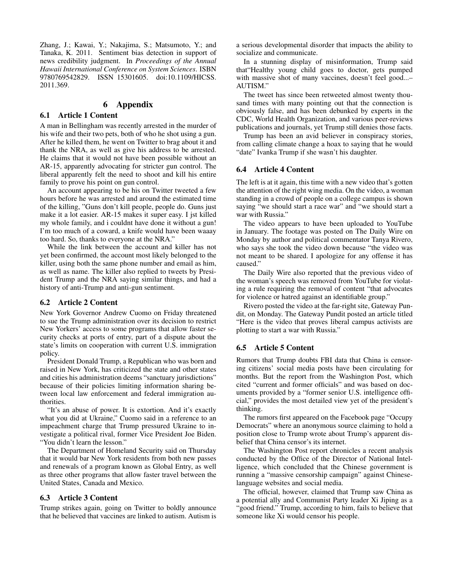Zhang, J.; Kawai, Y.; Nakajima, S.; Matsumoto, Y.; and Tanaka, K. 2011. Sentiment bias detection in support of news credibility judgment. In *Proceedings of the Annual Hawaii International Conference on System Sciences*. ISBN 9780769542829. ISSN 15301605. doi:10.1109/HICSS. 2011.369.

#### 6 Appendix

#### 6.1 Article 1 Content

A man in Bellingham was recently arrested in the murder of his wife and their two pets, both of who he shot using a gun. After he killed them, he went on Twitter to brag about it and thank the NRA, as well as give his address to be arrested. He claims that it would not have been possible without an AR-15, apparently advocating for stricter gun control. The liberal apparently felt the need to shoot and kill his entire family to prove his point on gun control.

An account appearing to be his on Twitter tweeted a few hours before he was arrested and around the estimated time of the killing, "Guns don't kill people, people do. Guns just make it a lot easier. AR-15 makes it super easy. I jst killed my whole family, and i couldnt have done it without a gun! I'm too much of a coward, a knife would have been waaay too hard. So, thanks to everyone at the NRA."

While the link between the account and killer has not yet been confirmed, the account most likely belonged to the killer, using both the same phone number and email as him, as well as name. The killer also replied to tweets by President Trump and the NRA saying similar things, and had a history of anti-Trump and anti-gun sentiment.

#### 6.2 Article 2 Content

New York Governor Andrew Cuomo on Friday threatened to sue the Trump administration over its decision to restrict New Yorkers' access to some programs that allow faster security checks at ports of entry, part of a dispute about the state's limits on cooperation with current U.S. immigration policy.

President Donald Trump, a Republican who was born and raised in New York, has criticized the state and other states and cities his administration deems "sanctuary jurisdictions" because of their policies limiting information sharing between local law enforcement and federal immigration authorities.

"It's an abuse of power. It is extortion. And it's exactly what you did at Ukraine," Cuomo said in a reference to an impeachment charge that Trump pressured Ukraine to investigate a political rival, former Vice President Joe Biden. "You didn't learn the lesson."

The Department of Homeland Security said on Thursday that it would bar New York residents from both new passes and renewals of a program known as Global Entry, as well as three other programs that allow faster travel between the United States, Canada and Mexico.

#### 6.3 Article 3 Content

Trump strikes again, going on Twitter to boldly announce that he believed that vaccines are linked to autism. Autism is

a serious developmental disorder that impacts the ability to socialize and communicate.

In a stunning display of misinformation, Trump said that"Healthy young child goes to doctor, gets pumped with massive shot of many vaccines, doesn't feel good...– AUTISM."

The tweet has since been retweeted almost twenty thousand times with many pointing out that the connection is obviously false, and has been debunked by experts in the CDC, World Health Organization, and various peer-reviews publications and journals, yet Trump still denies those facts.

Trump has been an avid believer in conspiracy stories, from calling climate change a hoax to saying that he would "date" Ivanka Trump if she wasn't his daughter.

#### 6.4 Article 4 Content

The left is at it again, this time with a new video that's gotten the attention of the right wing media. On the video, a woman standing in a crowd of people on a college campus is shown saying "we should start a race war" and "we should start a war with Russia."

The video appears to have been uploaded to YouTube in January. The footage was posted on The Daily Wire on Monday by author and political commentator Tanya Rivero, who says she took the video down because "the video was not meant to be shared. I apologize for any offense it has caused."

The Daily Wire also reported that the previous video of the woman's speech was removed from YouTube for violating a rule requiring the removal of content "that advocates for violence or hatred against an identifiable group."

Rivero posted the video at the far-right site, Gateway Pundit, on Monday. The Gateway Pundit posted an article titled "Here is the video that proves liberal campus activists are plotting to start a war with Russia."

#### 6.5 Article 5 Content

Rumors that Trump doubts FBI data that China is censoring citizens' social media posts have been circulating for months. But the report from the Washington Post, which cited "current and former officials" and was based on documents provided by a "former senior U.S. intelligence official," provides the most detailed view yet of the president's thinking.

The rumors first appeared on the Facebook page "Occupy Democrats" where an anonymous source claiming to hold a position close to Trump wrote about Trump's apparent disbelief that China censor's its internet.

The Washington Post report chronicles a recent analysis conducted by the Office of the Director of National Intelligence, which concluded that the Chinese government is running a "massive censorship campaign" against Chineselanguage websites and social media.

The official, however, claimed that Trump saw China as a potential ally and Communist Party leader Xi Jiping as a "good friend." Trump, according to him, fails to believe that someone like Xi would censor his people.